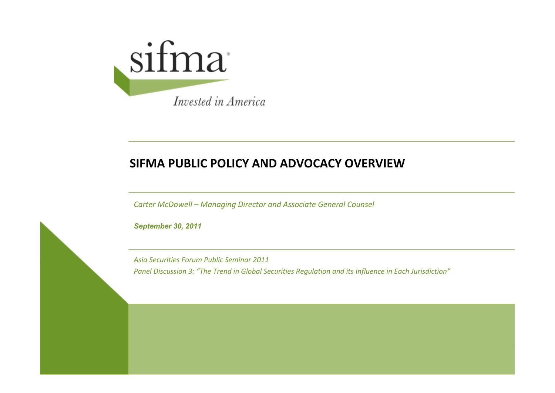

#### **SIFMA PUBLIC POLICY AND ADVOCACY OVERVIEW**

*Carter McDowell – Managing Director and Associate General Counsel*

*September 30, 2011*

*Asia Securities Forum Public Seminar 2011 Panel Discussion 3: "The Trend in Global Securities Regulation and its Influence in Each Jurisdiction"*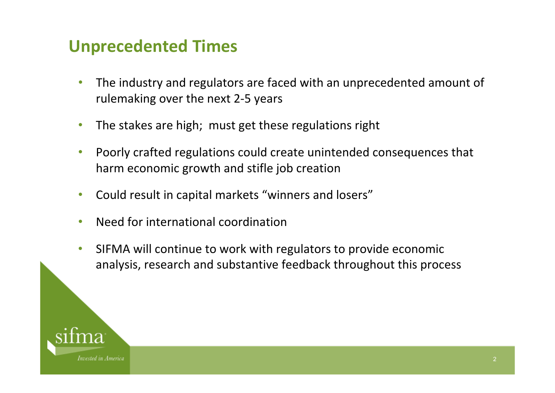## **Unprecedented Times**

- $\bullet$  The industry and regulators are faced with an unprecedented amount of rulemaking over the next 2‐5 years
- $\bullet$ The stakes are high; must get these regulations right
- $\bullet$  Poorly crafted regulations could create unintended consequences that harm economic growth and stifle job creation
- $\bullet$ Could result in capital markets "winners and losers"
- $\bullet$ Need for international coordination
- $\bullet$  SIFMA will continue to work with regulators to provide economic analysis, research and substantive feedback throughout this process

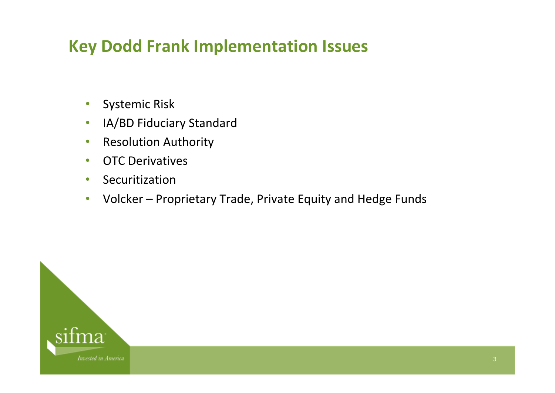## **Key Dodd Frank Implementation Issues**

- $\bullet$ Systemic Risk
- $\bullet$ IA/BD Fiduciary Standard
- $\bullet$ **•** Resolution Authority
- •**• OTC Derivatives**
- $\bullet$ Securitization
- •Volcker – Proprietary Trade, Private Equity and Hedge Funds

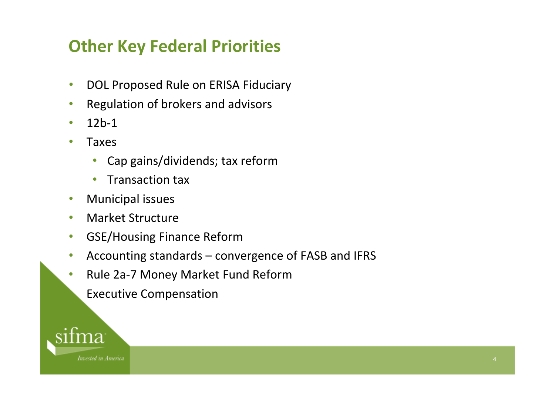## **Other Key Federal Priorities**

- $\bullet$ **• DOL Proposed Rule on ERISA Fiduciary**
- •Regulation of brokers and advisors
- •12b‐1
- • Taxes
	- $\bullet$ Cap gains/dividends; tax reform
	- $\bullet$ • Transaction tax
- $\bullet$ Municipal issues
- $\bullet$ Market Structure
- $\bullet$ GSE/Housing Finance Reform
- $\bullet$ Accounting standards – convergence of FASB and IFRS
- $\bullet$ ● Rule 2a-7 Money Market Fund Reform
- **Executive Compensation**

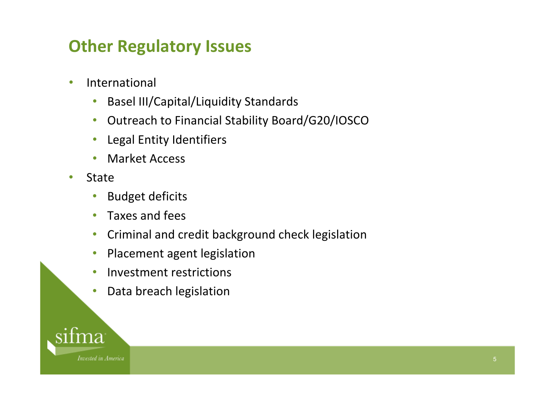## **Other Regulatory Issues**

- • International
	- $\bullet$ Basel III/Capital/Liquidity Standards
	- $\bullet$ Outreach to Financial Stability Board/G20/IOSCO
	- $\bullet$ Legal Entity Identifiers
	- $\bullet$ Market Access
- • State
	- $\bullet$ Budget deficits
	- $\bullet$ • Taxes and fees
	- $\bullet$ **•** Criminal and credit background check legislation
	- $\bullet$ Placement agent legislation
	- $\bullet$ Investment restrictions
	- $\bullet$ Data breach legislation

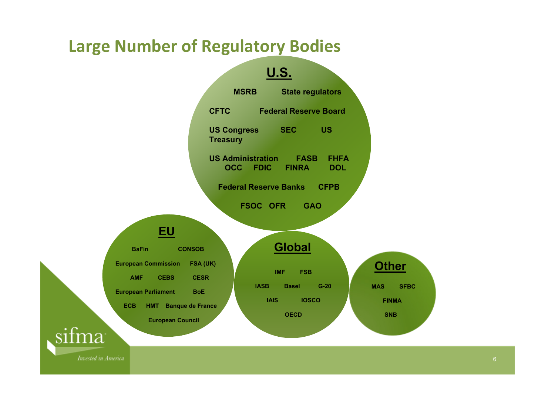### **Large Number of Regulatory Bodies**



**Invested in America**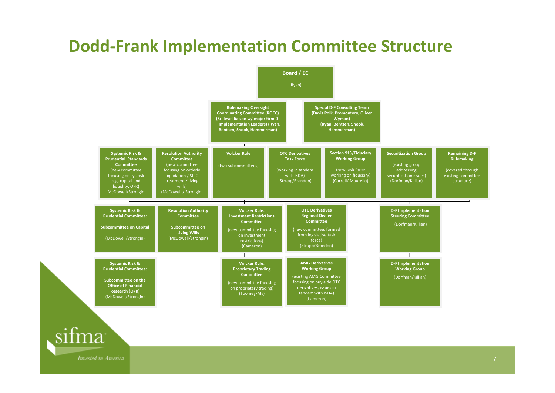## **Dodd‐Frank Implementation Committee Structure**



**Invested in America** 

sifma

7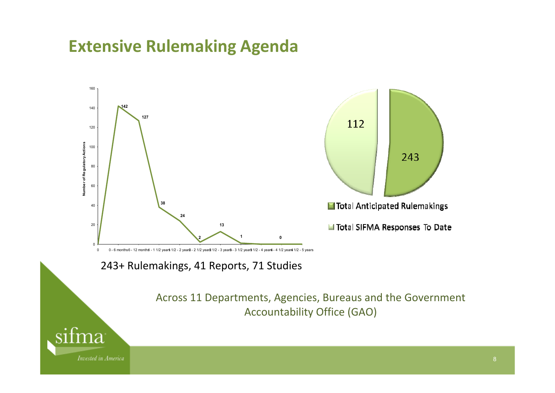## **Extensive Rulemaking Agenda**



243+ Rulemakings, 41 Reports, 71 Studies

Across 11 Departments, Agencies, Bureaus and the Government Accountability Office (GAO)

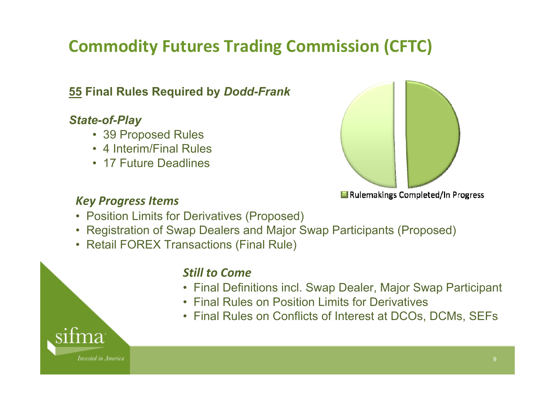# **Commodity Futures Trading Commission (CFTC)**

### **55 Final Rules Required by** *Dodd-Frank*

#### *State-of-Play*

- 39 Proposed Rules
- 4 Interim/Final Rules
- 17 Future Deadlines



Rulemakings Completed/In Progress

#### *Key Progress Items*

- Position Limits for Derivatives (Proposed)
- Registration of Swap Dealers and Major Swap Participants (Proposed)
- Retail FOREX Transactions (Final Rule)

#### *Still to Come*

- Final Definitions incl. Swap Dealer, Major Swap Participant
- Final Rules on Position Limits for Derivatives
- Final Rules on Conflicts of Interest at DCOs, DCMs, SEFs

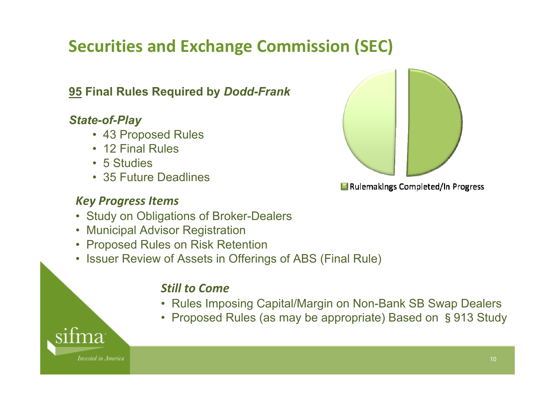# **Securities and Exchange Commission (SEC)**

### **95 Final Rules Required by** *Dodd-Frank*

#### *State-of-Play*

- 43 Proposed Rules
- 12 Final Rules
- 5 Studies
- 35 Future Deadlines

#### *Key Progress Items*

- Study on Obligations of Broker-Dealers
- Municipal Advisor Registration
- Proposed Rules on Risk Retention
- Issuer Review of Assets in Offerings of ABS (Final Rule)

#### *Still to Come*

- Rules Imposing Capital/Margin on Non-Bank SB Swap Dealers
- Proposed Rules (as may be appropriate) Based on §913 Study



Invested in America



Rulemakings Completed/In Progress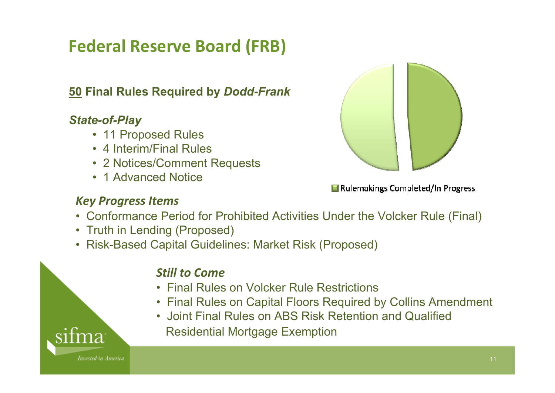# **Federal Reserve Board (FRB)**

### **50 Final Rules Required by** *Dodd-Frank*

#### *State-of-Play*

- 11 Proposed Rules
- 4 Interim/Final Rules
- 2 Notices/Comment Requests
- 1 Advanced Notice



Rulemakings Completed/In Progress

#### *Key Progress Items*

- Conformance Period for Prohibited Activities Under the Volcker Rule (Final)
- Truth in Lending (Proposed)
- Risk-Based Capital Guidelines: Market Risk (Proposed)

#### *Still to Come*

- Final Rules on Volcker Rule Restrictions
- Final Rules on Capital Floors Required by Collins Amendment
- Joint Final Rules on ABS Risk Retention and Qualified
	- Residential Mortgage Exemption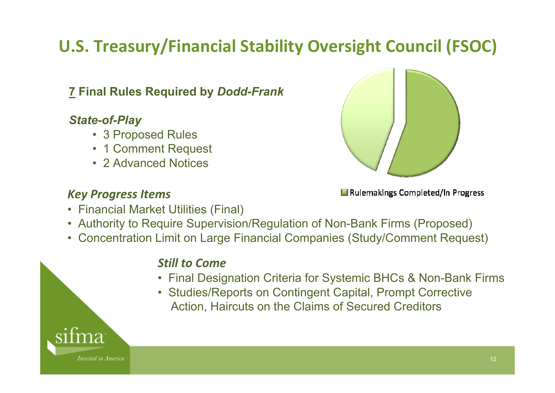# **U.S. Treasury/Financial Stability Oversight Council (FSOC)**

### **7 Final Rules Required by** *Dodd-Frank*

#### *State-of-Play*

- 3 Proposed Rules
- 1 Comment Request
- 2 Advanced Notices

#### *Key Progress Items*



Rulemakings Completed/In Progress

- Financial Market Utilities (Final)
- Authority to Require Supervision/Regulation of Non-Bank Firms (Proposed)
- •Concentration Limit on Large Financial Companies (Study/Comment Request)

#### *Still to Come*

- Final Designation Criteria for Systemic BHCs & Non-Bank Firms
- Studies/Reports on Contingent Capital, Prompt Corrective Action, Haircuts on the Claims of Secured Creditors

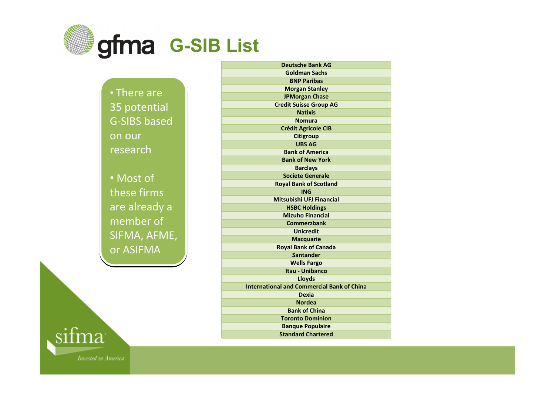

• There are • There are 35 potential 35 potential G-SIBS based on our on our research

• Most of • Most of these firms these firms are already <sup>a</sup> are already <sup>a</sup> member of member of SIFMA, AFME, or ASIFMA

**Deutsche Bank AGGoldman Sachs BNP Paribas Morgan Stanley JPMorgan Chase Credit Suisse Group AG NatixisNomuraCrédit Agricole CIB Citigroup UBS AGBank of AmericaBank of New York Barclays Societe Generale Royal Bank of Scotland INGMitsubishi UFJ Financial HSBC Holdings Mizuho Financial CommerzbankUnicreditMacquarie Royal Bank of Canada SantanderWells Fargo Itau ‐ Unibanco Lloyds International and Commercial Bank of China DexiaNordeaBank of ChinaToronto Dominion Banque Populaire Standard Chartered**

sifma Invested in America